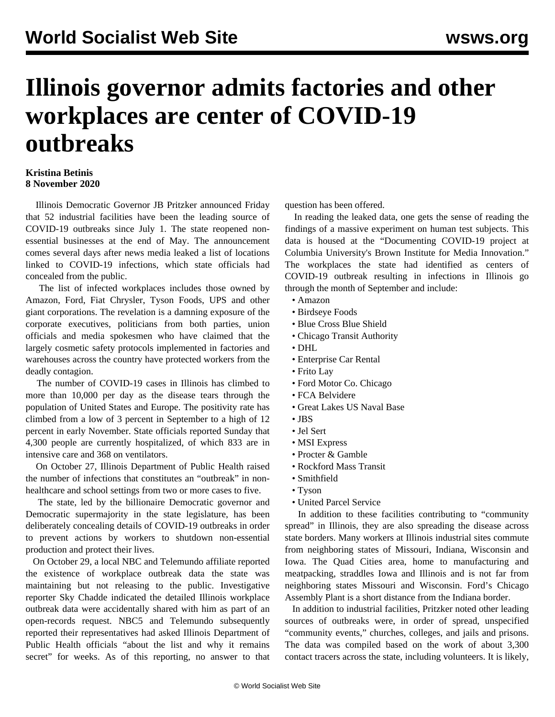## **Illinois governor admits factories and other workplaces are center of COVID-19 outbreaks**

## **Kristina Betinis 8 November 2020**

 Illinois Democratic Governor JB Pritzker announced Friday that 52 industrial facilities have been the leading source of COVID-19 outbreaks since July 1. The state reopened nonessential businesses at the end of May. The announcement comes several days after news media leaked a list of locations linked to COVID-19 infections, which state officials had concealed from the public.

 The list of infected workplaces includes those owned by Amazon, Ford, Fiat Chrysler, Tyson Foods, UPS and other giant corporations. The revelation is a damning exposure of the corporate executives, politicians from both parties, union officials and media spokesmen who have claimed that the largely cosmetic safety protocols implemented in factories and warehouses across the country have protected workers from the deadly contagion.

 The number of COVID-19 cases in Illinois has climbed to more than 10,000 per day as the disease tears through the population of United States and Europe. The positivity rate has climbed from a low of 3 percent in September to a high of 12 percent in early November. State officials reported Sunday that 4,300 people are currently hospitalized, of which 833 are in intensive care and 368 on ventilators.

 On October 27, Illinois Department of Public Health raised the number of infections that constitutes an "outbreak" in nonhealthcare and school settings from two or more cases to five.

 The state, led by the billionaire Democratic governor and Democratic supermajority in the state legislature, has been deliberately concealing details of COVID-19 outbreaks in order to prevent actions by workers to shutdown non-essential production and protect their lives.

 On October 29, a local NBC and Telemundo affiliate reported the existence of workplace outbreak data the state was maintaining but not releasing to the public. Investigative reporter Sky Chadde indicated the detailed Illinois workplace outbreak data were accidentally shared with him as part of an open-records request. NBC5 and Telemundo subsequently reported their representatives had asked Illinois Department of Public Health officials "about the list and why it remains secret" for weeks. As of this reporting, no answer to that question has been offered.

 In reading the leaked data, one gets the sense of reading the findings of a massive experiment on human test subjects. This [data](https://www.documentingcovid19.io/record/186) is housed at the "Documenting COVID-19 project at Columbia University's Brown Institute for Media Innovation." The workplaces the state had identified as centers of COVID-19 outbreak resulting in infections in Illinois go through the month of September and include:

- Amazon
- Birdseye Foods
- Blue Cross Blue Shield
- Chicago Transit Authority
- DHL
- Enterprise Car Rental
- Frito Lay
- Ford Motor Co. Chicago
- FCA Belvidere
- Great Lakes US Naval Base
- JBS
- Jel Sert
- MSI Express
- Procter & Gamble
- Rockford Mass Transit
- Smithfield
- Tyson
- United Parcel Service

 In addition to these facilities contributing to "community spread" in Illinois, they are also spreading the disease across state borders. Many workers at Illinois industrial sites commute from neighboring states of Missouri, Indiana, Wisconsin and Iowa. The Quad Cities area, home to manufacturing and meatpacking, straddles Iowa and Illinois and is not far from neighboring states Missouri and Wisconsin. Ford's Chicago Assembly Plant is a short distance from the Indiana border.

 In addition to industrial facilities, Pritzker noted other leading sources of outbreaks were, in order of spread, unspecified "community events," churches, colleges, and jails and prisons. The data was compiled based on the work of about 3,300 contact tracers across the state, including volunteers. It is likely,